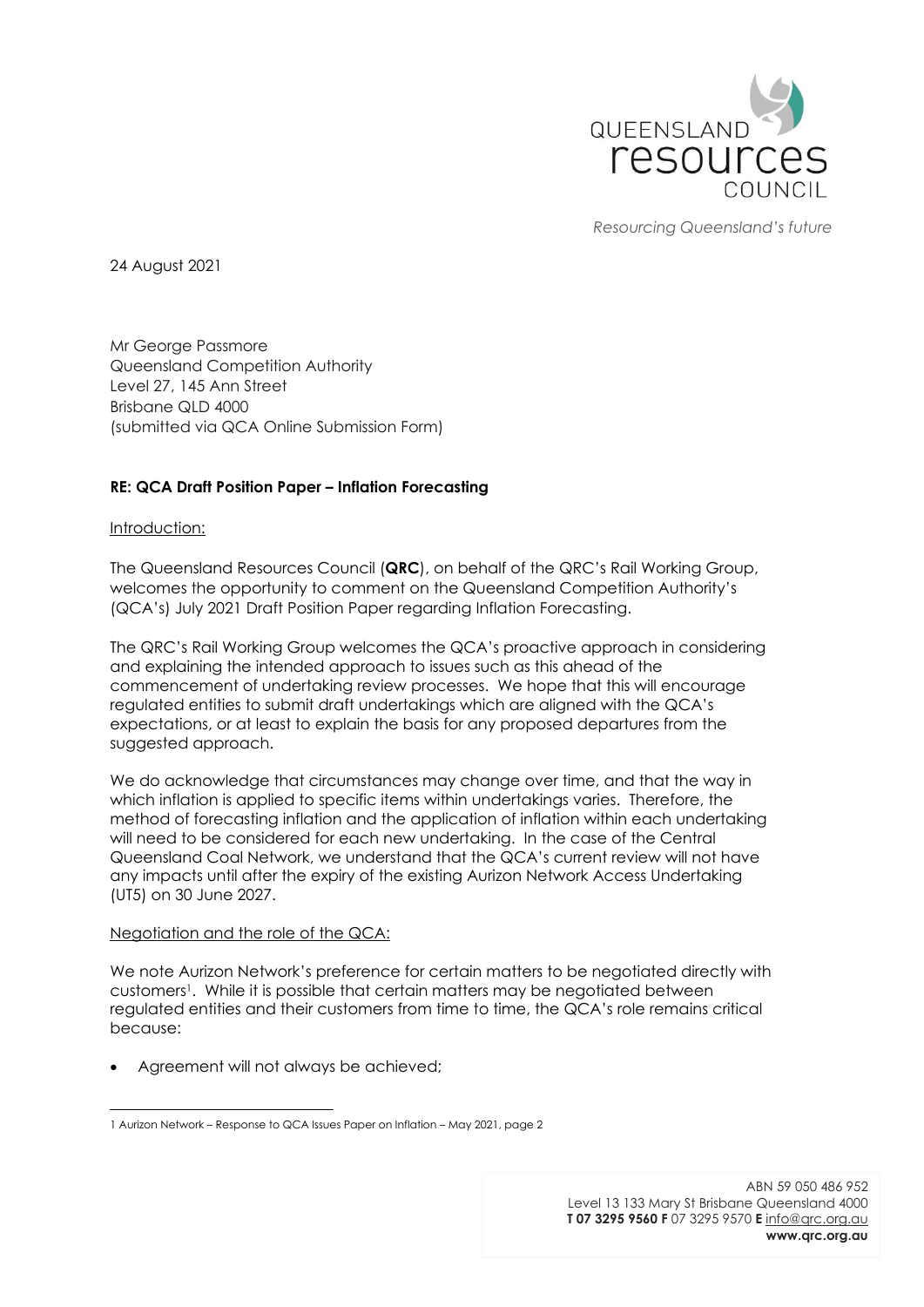

*Resourcing Queensland's future*

24 August 2021

Mr George Passmore Queensland Competition Authority Level 27, 145 Ann Street Brisbane QLD 4000 (submitted via QCA Online Submission Form)

## **RE: QCA Draft Position Paper – Inflation Forecasting**

## Introduction:

The Queensland Resources Council (**QRC**), on behalf of the QRC's Rail Working Group, welcomes the opportunity to comment on the Queensland Competition Authority's (QCA's) July 2021 Draft Position Paper regarding Inflation Forecasting.

The QRC's Rail Working Group welcomes the QCA's proactive approach in considering and explaining the intended approach to issues such as this ahead of the commencement of undertaking review processes. We hope that this will encourage regulated entities to submit draft undertakings which are aligned with the QCA's expectations, or at least to explain the basis for any proposed departures from the suggested approach.

We do acknowledge that circumstances may change over time, and that the way in which inflation is applied to specific items within undertakings varies. Therefore, the method of forecasting inflation and the application of inflation within each undertaking will need to be considered for each new undertaking. In the case of the Central Queensland Coal Network, we understand that the QCA's current review will not have any impacts until after the expiry of the existing Aurizon Network Access Undertaking (UT5) on 30 June 2027.

## Negotiation and the role of the QCA:

We note Aurizon Network's preference for certain matters to be negotiated directly with customers1. While it is possible that certain matters may be negotiated between regulated entities and their customers from time to time, the QCA's role remains critical because:

• Agreement will not always be achieved;

<sup>1</sup> Aurizon Network – Response to QCA Issues Paper on Inflation – May 2021, page 2